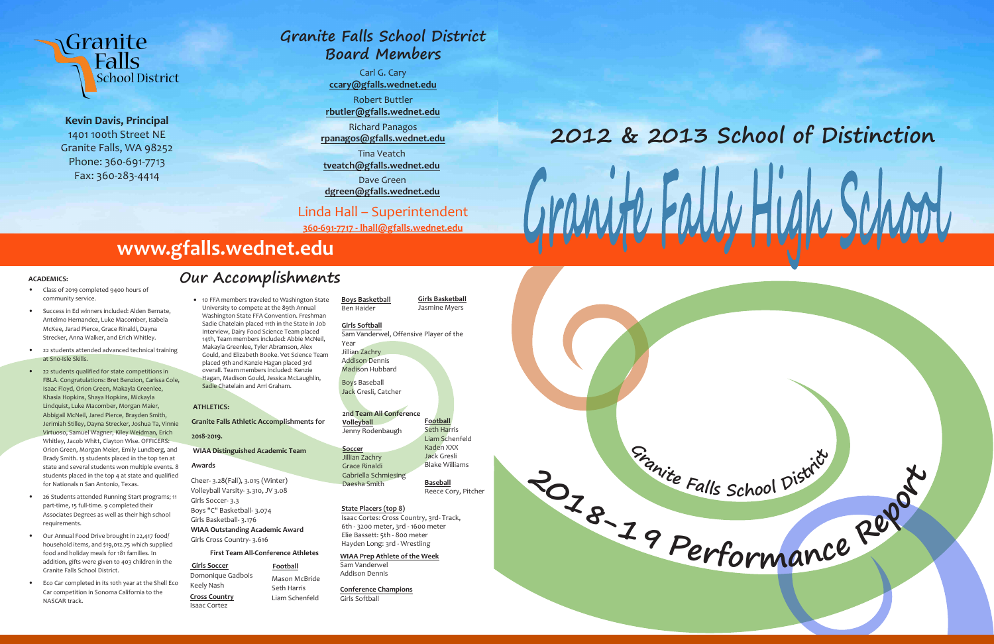



**Kevin Davis, Principal** 1401 100th Street NE Granite Falls, WA 98252 Phone: 360-691-7713 Fax: 360-283-4414

## **ACADEMICS:**

- Class of 2019 completed 9400 hours of community service.
- Success in Ed winners included: Alden Bernate, Antelmo Hernandez, Luke Macomber, Isabela McKee, Jarad Pierce, Grace Rinaldi, Dayna Strecker, Anna Walker, and Erich Whitley.
- 22 students attended advanced technical training at Sno-Isle Skills.
- 22 students qualified for state competitions in FBLA. Congratulations: Bret Benzion, Carissa Cole, Isaac Floyd, Orion Green, Makayla Greenlee, Khasia Hopkins, Shaya Hopkins, Mickayla Lindquist, Luke Macomber, Morgan Maier, Abbigail McNeil, Jared Pierce, Brayden Smith, Jerimiah Stilley, Dayna Strecker, Joshua Ta, Vinnie Virtuoso, Samuel Wagner, Kiley Weidman, Erich Whitley, Jacob Whitt, Clayton Wise. OFFICERS: Orion Green, Morgan Meier, Emily Lundberg, and Brady Smith. 13 students placed in the top ten at state and several students won multiple events. 8 students placed in the top 4 at state and qualified for Nationals n San Antonio, Texas.
- 26 Students attended Running Start programs; 11 part-time, 15 full-time. 9 completed their Associates Degrees as well as their high school requirements.
- Our Annual Food Drive brought in 22,417 food/ household items, and \$19,012.75 which supplied food and holiday meals for 181 families. In addition, gifts were given to 403 children in the Granite Falls School District.
- Eco Car completed in its 10th year at the Shell Eco Car competition in Sonoma California to the NASCAR track.

Girls Soccer **Football** Domonique Gadbois Keely Nash

# **2012 & 2013 School of Distinction** Gramste Fally Hy

### **ATHLETICS:**

### **Granite Falls Athletic Accomplishments for**

**2018-2019.**

# **WIAA Distinguished Academic Team**

### **Awards**

Cheer- 3.28(Fall), 3.015 (Winter) Volleyball Varsity- 3.310, JV 3.08 Girls Soccer- 3.3 Boys "C" Basketball- 3.074 Girls Basketball- 3.176 **WIAA Outstanding Academic Award** Girls Cross Country- 3.616

### **First Team All-Conference Athletes**

Mason McBride Seth Harris

**Cross Country** Liam Schenfeld Isaac Cortez

**Boys Basketball** Ben Haider

## **Girls Softball**

Sam Vanderwel, Offensive Player of the Year

Jillian Zachry Addison Dennis Madison Hubbard

Boys Baseball Jack Gresli, Catcher

**Conference Champions** Girls Softball

**Girls Basketball** Jasmine Myers

Reece Cory, Pitcher

**Football** Seth Harris Liam Schenfeld Kaden XXX Jack Gresli Blake Williams **Baseball** Jenny Rodenbaugh Jillian Zachry Grace Rinaldi Gabriella Schmiesing Daesha Smith

### **2nd Team All Conference**

**Volleyball**

**Soccer**

# **State Placers (top 8)**

Isaac Cortes: Cross Country, 3rd- Track, 6th - 3200 meter, 3rd - 1600 meter Elie Bassett: 5th - 800 meter Hayden Long: 3rd - Wrestling

### **WIAA Prep Athlete of the Week** Sam Vanderwel

Addison Dennis

# **www.gfalls.wednet.edu**

# **Granite Falls School District Board Members**

Carl G. Cary **ccary@gfalls.wednet.edu** Robert Buttler **rbutler@gfalls.wednet.edu** Richard Panagos **rpanagos@gfalls.wednet.edu**

# **Our Accomplishments** • 10 FFA members traveled to Washington State University to compete at the 89th Annual

Tina Veatch

**tveatch@gfalls.wednet.edu**

Dave Green

**dgreen@gfalls.wednet.edu**

Linda Hall – Superintendent

**360-691-7717 - lhall@gfalls.wednet.edu**

Washington State FFA Convention. Freshman Sadie Chatelain placed 11th in the State in Job Interview, Dairy Food Science Team placed 14th, Team members included: Abbie McNeil, Makayla Greenlee, Tyler Abramson, Alex Gould, and Elizabeth Booke. Vet Science Team placed 9th and Kanzie Hagan placed 3rd overall. Team members included: Kenzie Hagan, Madison Gould, Jessica McLaughlin, Sadie Chatelain and Arri Graham.